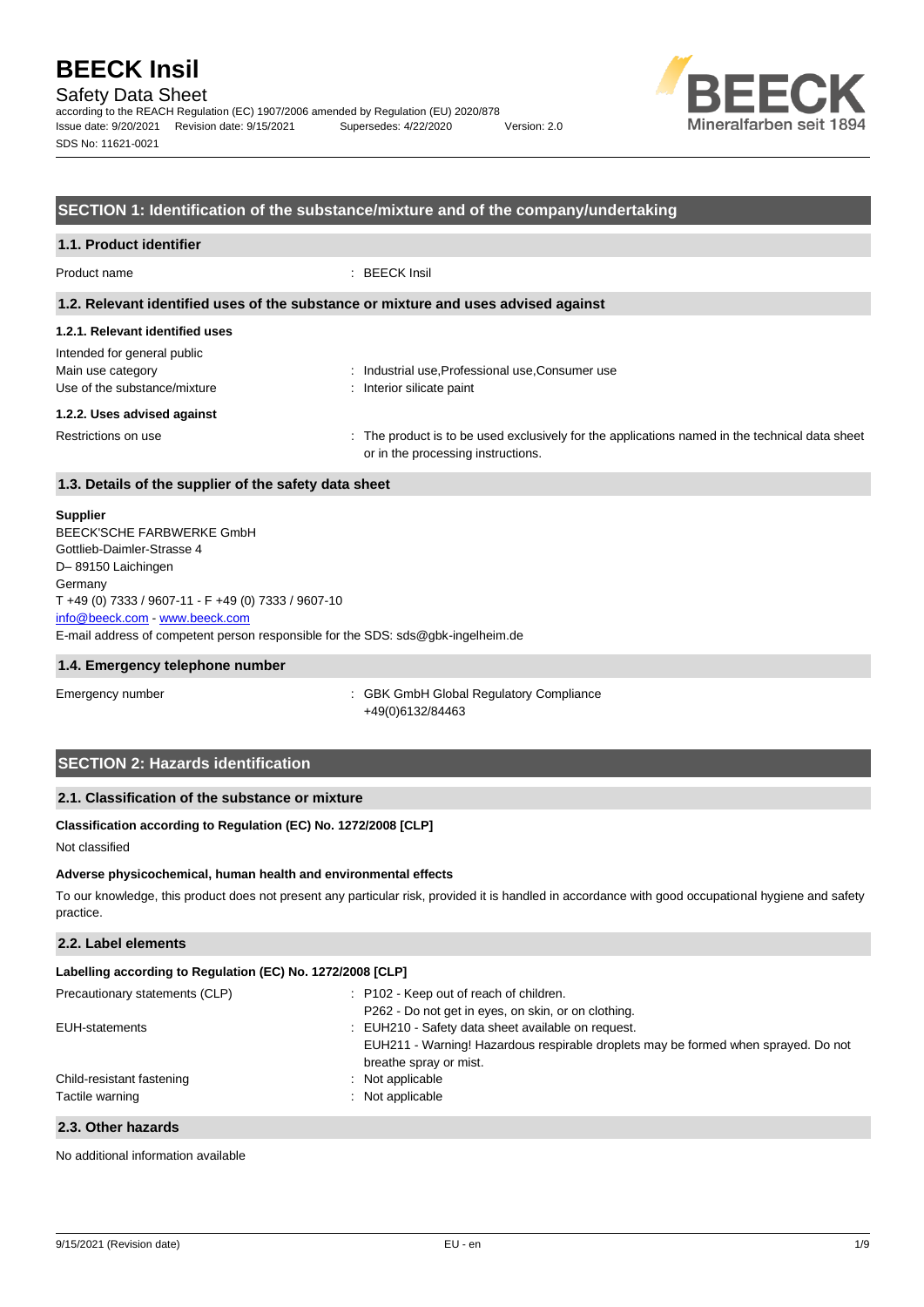## Safety Data Sheet

according to the REACH Regulation (EC) 1907/2006 amended by Regulation (EU) 2020/878 Issue date: 9/20/2021 Revision date: 9/15/2021 Supersedes: 4/22/2020 Version: 2.0 SDS No: 11621-0021



#### **SECTION 1: Identification of the substance/mixture and of the company/undertaking**

| 1.1. Product identifier                                                                                             |                                                                                                                                      |
|---------------------------------------------------------------------------------------------------------------------|--------------------------------------------------------------------------------------------------------------------------------------|
| Product name                                                                                                        | $\therefore$ BEECK Insil                                                                                                             |
|                                                                                                                     | 1.2. Relevant identified uses of the substance or mixture and uses advised against                                                   |
| 1.2.1. Relevant identified uses<br>Intended for general public<br>Main use category<br>Use of the substance/mixture | : Industrial use, Professional use, Consumer use<br>: Interior silicate paint                                                        |
| 1.2.2. Uses advised against<br>Restrictions on use                                                                  | : The product is to be used exclusively for the applications named in the technical data sheet<br>or in the processing instructions. |
| 1.3. Details of the supplier of the safety data sheet                                                               |                                                                                                                                      |
|                                                                                                                     |                                                                                                                                      |

#### **Supplier**

E-mail address of competent person responsible for the SDS: sds@gbk-ingelheim.de BEECK'SCHE FARBWERKE GmbH Gottlieb-Daimler-Strasse 4 D– 89150 Laichingen **Germany** T +49 (0) 7333 / 9607-11 - F +49 (0) 7333 / 9607-10 [info@beeck.com](mailto:info@beeck.com) - [www.beeck.com](http://www.beeck.com/)

#### **1.4. Emergency telephone number**

Emergency number **Emergency** number **1996** COMERGING COMPLIANCE: GBK GmbH Global Regulatory Compliance +49(0)6132/84463

## **SECTION 2: Hazards identification**

#### **2.1. Classification of the substance or mixture**

#### **Classification according to Regulation (EC) No. 1272/2008 [CLP]**

Not classified

#### **Adverse physicochemical, human health and environmental effects**

To our knowledge, this product does not present any particular risk, provided it is handled in accordance with good occupational hygiene and safety practice.

### **2.2. Label elements**

| Labelling according to Regulation (EC) No. 1272/2008 [CLP] |                                                                                                              |  |
|------------------------------------------------------------|--------------------------------------------------------------------------------------------------------------|--|
| Precautionary statements (CLP)                             | : P102 - Keep out of reach of children.                                                                      |  |
|                                                            | P262 - Do not get in eyes, on skin, or on clothing.                                                          |  |
| EUH-statements                                             | : EUH210 - Safety data sheet available on request.                                                           |  |
|                                                            | EUH211 - Warning! Hazardous respirable droplets may be formed when sprayed. Do not<br>breathe spray or mist. |  |
| Child-resistant fastening                                  | : Not applicable                                                                                             |  |
| Tactile warning                                            | : Not applicable                                                                                             |  |
|                                                            |                                                                                                              |  |

#### **2.3. Other hazards**

No additional information available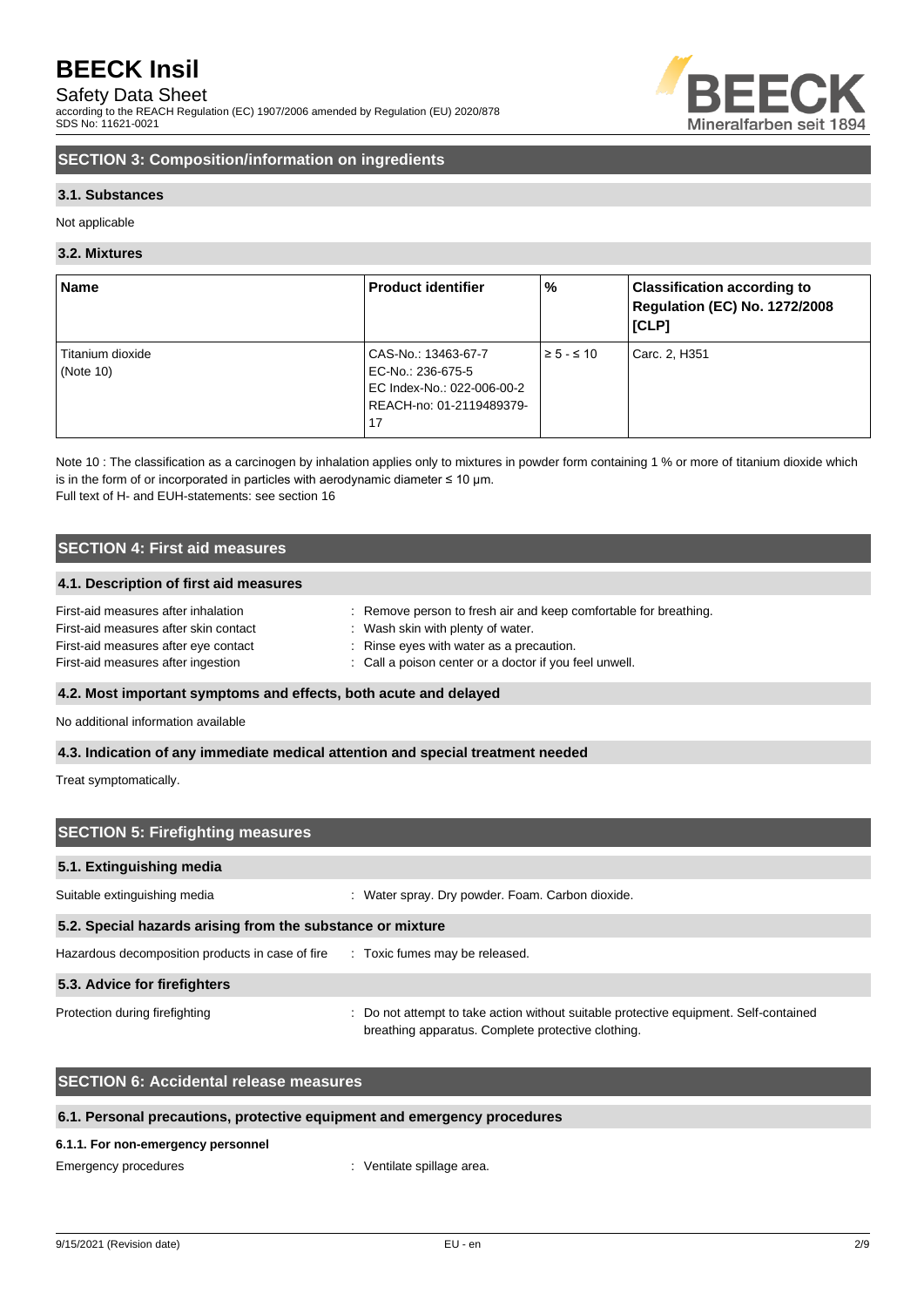## Safety Data Sheet

according to the REACH Regulation (EC) 1907/2006 amended by Regulation (EU) 2020/878 SDS No: 11621-0021



## **SECTION 3: Composition/information on ingredients**

#### **3.1. Substances**

Not applicable

#### **3.2. Mixtures**

| <b>Name</b>      | <b>Product identifier</b>  | $\%$               | <b>Classification according to</b><br>Regulation (EC) No. 1272/2008<br>[CLP] |
|------------------|----------------------------|--------------------|------------------------------------------------------------------------------|
| Titanium dioxide | CAS-No.: 13463-67-7        | $\geq 5 - \leq 10$ | Carc. 2, H351                                                                |
| (Note $10$ )     | EC-No.: 236-675-5          |                    |                                                                              |
|                  | EC Index-No.: 022-006-00-2 |                    |                                                                              |
|                  | REACH-no: 01-2119489379-   |                    |                                                                              |
|                  | 17                         |                    |                                                                              |

Note 10 : The classification as a carcinogen by inhalation applies only to mixtures in powder form containing 1 % or more of titanium dioxide which is in the form of or incorporated in particles with aerodynamic diameter  $\leq 10$  µm. Full text of H- and EUH-statements: see section 16

### **SECTION 4: First aid measures**

#### **4.1. Description of first aid measures**

| First-aid measures after inhalation   | Remove person to fresh air and keep comfortable for breathing. |
|---------------------------------------|----------------------------------------------------------------|
| First-aid measures after skin contact | Wash skin with plenty of water.                                |
| First-aid measures after eye contact  | : Rinse eyes with water as a precaution.                       |
| First-aid measures after ingestion    | : Call a poison center or a doctor if you feel unwell.         |

#### **4.2. Most important symptoms and effects, both acute and delayed**

No additional information available

#### **4.3. Indication of any immediate medical attention and special treatment needed**

Treat symptomatically.

| <b>SECTION 5: Firefighting measures</b>                                         |                                                                                                                                             |  |
|---------------------------------------------------------------------------------|---------------------------------------------------------------------------------------------------------------------------------------------|--|
| 5.1. Extinguishing media                                                        |                                                                                                                                             |  |
| Suitable extinguishing media                                                    | Water spray. Dry powder. Foam. Carbon dioxide.                                                                                              |  |
| 5.2. Special hazards arising from the substance or mixture                      |                                                                                                                                             |  |
| Hazardous decomposition products in case of fire : Toxic fumes may be released. |                                                                                                                                             |  |
| 5.3. Advice for firefighters                                                    |                                                                                                                                             |  |
| Protection during firefighting                                                  | : Do not attempt to take action without suitable protective equipment. Self-contained<br>breathing apparatus. Complete protective clothing. |  |

### **SECTION 6: Accidental release measures**

#### **6.1. Personal precautions, protective equipment and emergency procedures**

#### **6.1.1. For non-emergency personnel**

Emergency procedures in the spillage area.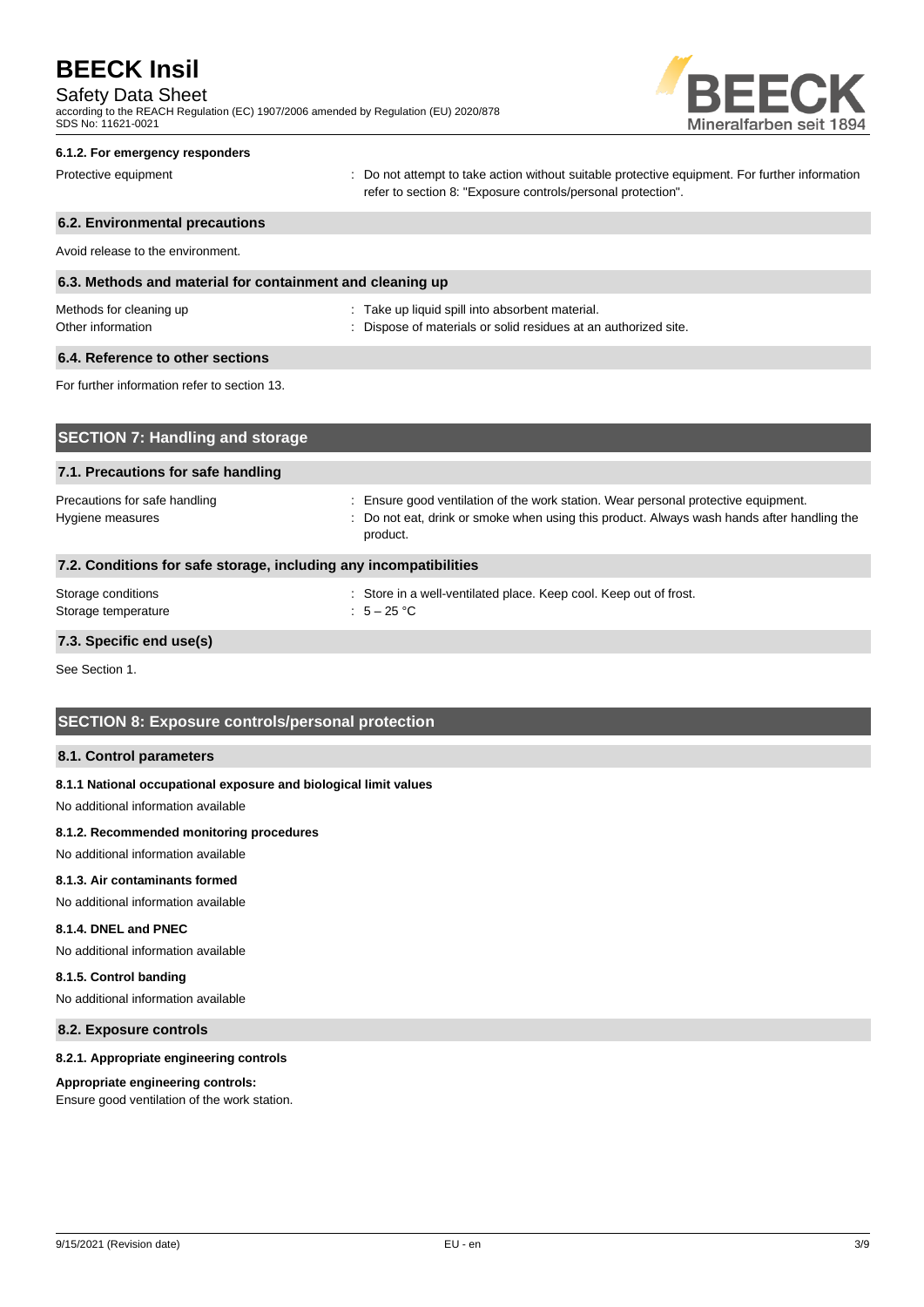## Safety Data Sheet

according to the REACH Regulation (EC) 1907/2006 amended by Regulation (EU) 2020/878 SDS No: 11621-0021



## **6.1.2. For emergency responders**

Protective equipment **interval of the CO** not attempt to take action without suitable protective equipment. For further information refer to section 8: "Exposure controls/personal protection".

## **6.2. Environmental precautions** Avoid release to the environment. **6.3. Methods and material for containment and cleaning up** Methods for cleaning up example and the state up liquid spill into absorbent material. Other information **Other information** : Dispose of materials or solid residues at an authorized site. **6.4. Reference to other sections** For further information refer to section 13. **SECTION 7: Handling and storage**

| 7.1. Precautions for safe handling                                |                                                                                                                                                                                              |  |  |
|-------------------------------------------------------------------|----------------------------------------------------------------------------------------------------------------------------------------------------------------------------------------------|--|--|
| Precautions for safe handling<br>Hygiene measures                 | : Ensure good ventilation of the work station. Wear personal protective equipment.<br>: Do not eat, drink or smoke when using this product. Always wash hands after handling the<br>product. |  |  |
| 7.2. Conditions for safe storage, including any incompatibilities |                                                                                                                                                                                              |  |  |
| Storage conditions<br>Storage temperature                         | : Store in a well-ventilated place. Keep cool. Keep out of frost.<br>: $5-25$ °C                                                                                                             |  |  |

#### **7.3. Specific end use(s)**

See Section 1.

### **SECTION 8: Exposure controls/personal protection**

#### **8.1. Control parameters**

#### **8.1.1 National occupational exposure and biological limit values**

No additional information available

#### **8.1.2. Recommended monitoring procedures**

No additional information available

#### **8.1.3. Air contaminants formed**

No additional information available

### **8.1.4. DNEL and PNEC**

No additional information available

#### **8.1.5. Control banding**

No additional information available

#### **8.2. Exposure controls**

#### **8.2.1. Appropriate engineering controls**

#### **Appropriate engineering controls:**

Ensure good ventilation of the work station.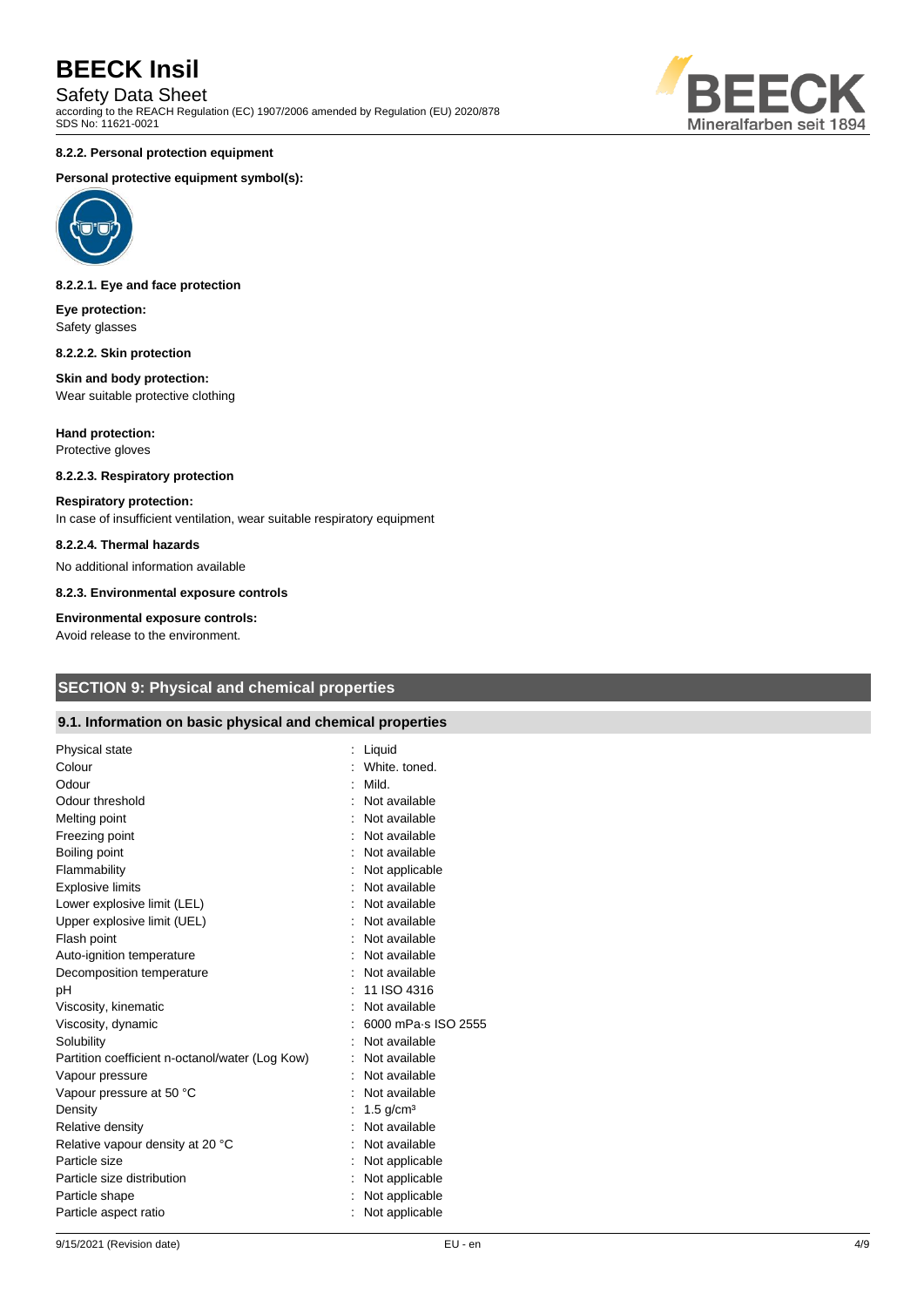Safety Data Sheet

according to the REACH Regulation (EC) 1907/2006 amended by Regulation (EU) 2020/878 SDS No: 11621-0021



#### **8.2.2. Personal protection equipment**

#### **Personal protective equipment symbol(s):**



#### **8.2.2.1. Eye and face protection**

**Eye protection:** Safety glasses

#### **8.2.2.2. Skin protection**

#### **Skin and body protection:** Wear suitable protective clothing

**Hand protection:** Protective gloves

## **8.2.2.3. Respiratory protection**

#### **Respiratory protection:**

In case of insufficient ventilation, wear suitable respiratory equipment

#### **8.2.2.4. Thermal hazards**

No additional information available

**8.2.3. Environmental exposure controls**

#### **Environmental exposure controls:**

Avoid release to the environment.

## **SECTION 9: Physical and chemical properties**

#### **9.1. Information on basic physical and chemical properties**

| Physical state                                  | Liquid                  |
|-------------------------------------------------|-------------------------|
| Colour                                          | White, toned.           |
| Odour                                           | Mild.                   |
| Odour threshold                                 | Not available           |
| Melting point                                   | Not available           |
| Freezing point                                  | Not available           |
| Boiling point                                   | Not available           |
| Flammability                                    | Not applicable          |
| <b>Explosive limits</b>                         | Not available           |
| Lower explosive limit (LEL)                     | : Not available         |
| Upper explosive limit (UEL)                     | Not available           |
| Flash point                                     | Not available           |
| Auto-ignition temperature                       | Not available           |
| Decomposition temperature                       | Not available           |
| pH                                              | 11 ISO 4316             |
| Viscosity, kinematic                            | Not available           |
| Viscosity, dynamic                              | 6000 mPa-s ISO 2555     |
| Solubility                                      | Not available           |
| Partition coefficient n-octanol/water (Log Kow) | Not available           |
| Vapour pressure                                 | Not available           |
| Vapour pressure at 50 °C                        | Not available           |
| Density                                         | : 1.5 g/cm <sup>3</sup> |
| Relative density                                | Not available           |
| Relative vapour density at 20 °C                | Not available           |
| Particle size                                   | Not applicable          |
| Particle size distribution                      | Not applicable          |
| Particle shape                                  | Not applicable          |
| Particle aspect ratio                           | Not applicable          |
|                                                 |                         |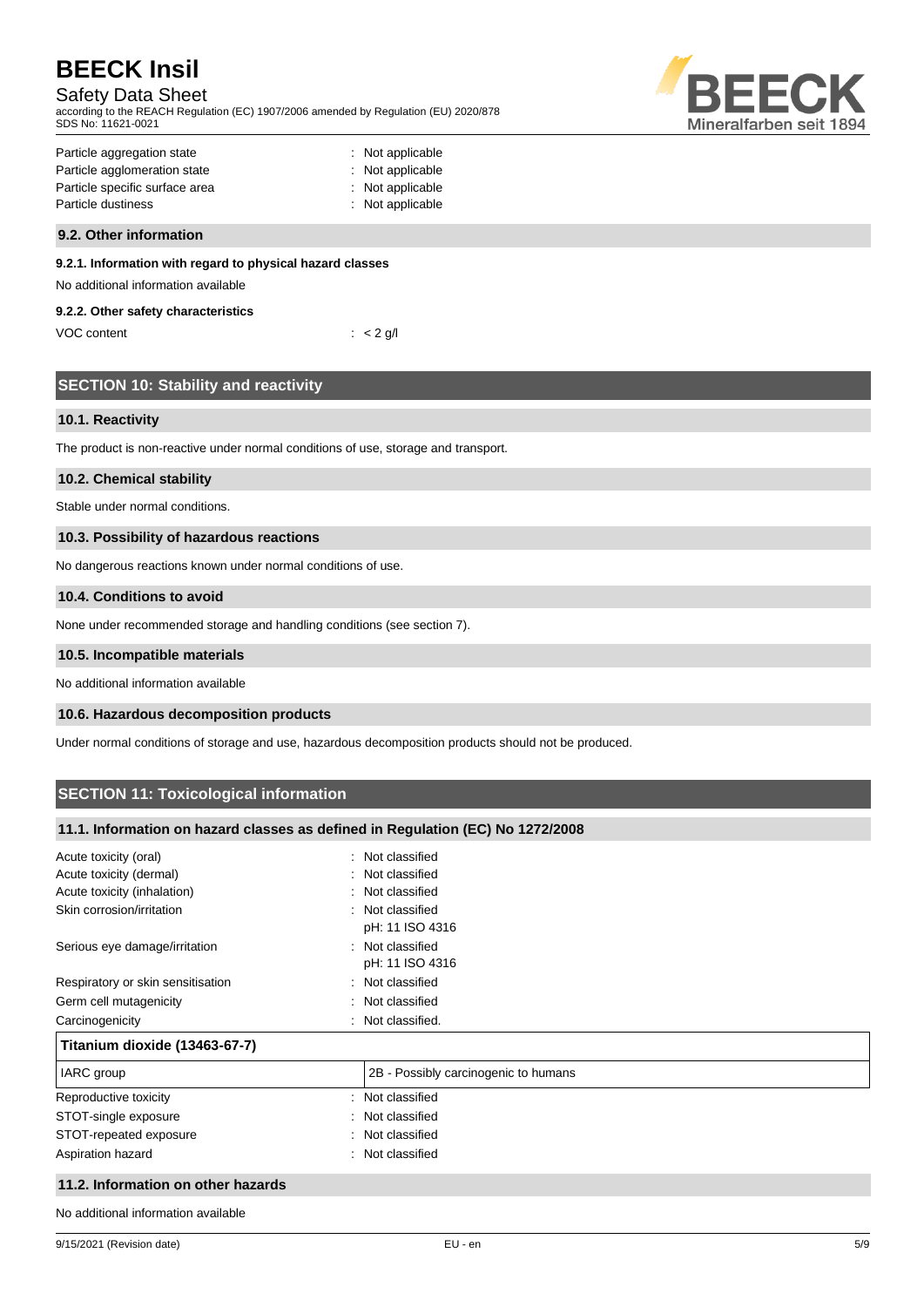## Safety Data Sheet

according to the REACH Regulation (EC) 1907/2006 amended by Regulation (EU) 2020/878 SDS No: 11621-0021



| Particle aggregation state     | : Not applicable |
|--------------------------------|------------------|
| Particle agglomeration state   | : Not applicable |
| Particle specific surface area | : Not applicable |
| Particle dustiness             | : Not applicable |
|                                |                  |

#### **9.2. Other information**

#### **9.2.1. Information with regard to physical hazard classes**

No additional information available

#### **9.2.2. Other safety characteristics**

| VOC content | $\therefore$ < 2 g/l |
|-------------|----------------------|
|-------------|----------------------|

|  |  |  | <b>SECTION 10: Stability and reactivity</b> |
|--|--|--|---------------------------------------------|
|--|--|--|---------------------------------------------|

#### **10.1. Reactivity**

The product is non-reactive under normal conditions of use, storage and transport.

#### **10.2. Chemical stability**

Stable under normal conditions.

#### **10.3. Possibility of hazardous reactions**

No dangerous reactions known under normal conditions of use.

#### **10.4. Conditions to avoid**

None under recommended storage and handling conditions (see section 7).

#### **10.5. Incompatible materials**

No additional information available

#### **10.6. Hazardous decomposition products**

Under normal conditions of storage and use, hazardous decomposition products should not be produced.

## **SECTION 11: Toxicological information**

#### **11.1. Information on hazard classes as defined in Regulation (EC) No 1272/2008**

| Acute toxicity (oral)<br>۰.        | Not classified                       |
|------------------------------------|--------------------------------------|
| Acute toxicity (dermal)            | : Not classified                     |
| Acute toxicity (inhalation)        | : Not classified                     |
| Skin corrosion/irritation          | : Not classified<br>pH: 11 ISO 4316  |
| Serious eye damage/irritation      | : Not classified<br>pH: 11 ISO 4316  |
| Respiratory or skin sensitisation  | : Not classified                     |
| Germ cell mutagenicity<br>÷.       | Not classified                       |
| Carcinogenicity                    | Not classified.                      |
| Titanium dioxide (13463-67-7)      |                                      |
| IARC group                         | 2B - Possibly carcinogenic to humans |
| Reproductive toxicity              | : Not classified                     |
| STOT-single exposure               | : Not classified                     |
| STOT-repeated exposure             | : Not classified                     |
| Aspiration hazard                  | : Not classified                     |
| 11.2. Information on other hazards |                                      |

No additional information available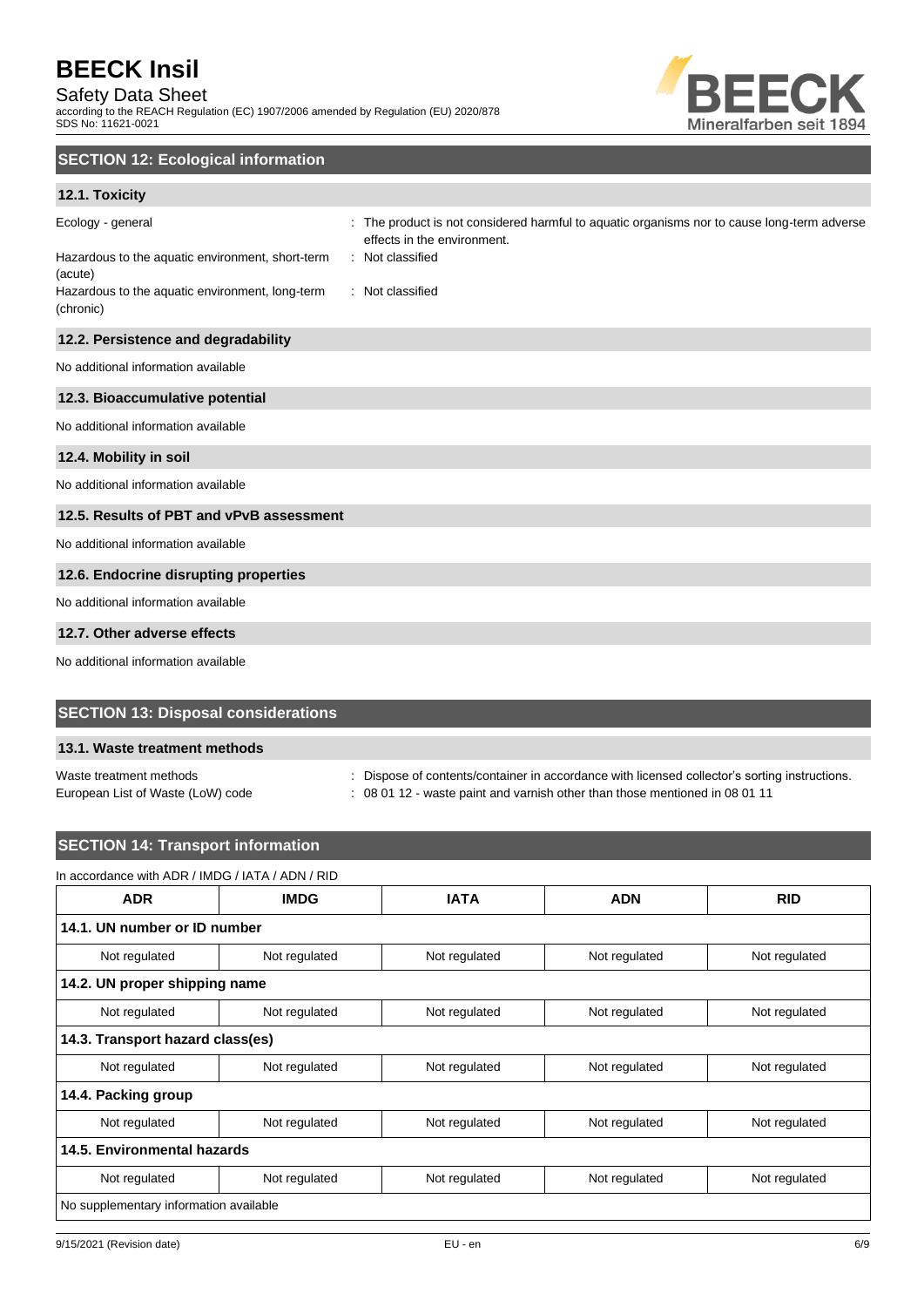### Safety Data Sheet

according to the REACH Regulation (EC) 1907/2006 amended by Regulation (EU) 2020/878 SDS No: 11621-0021



## **SECTION 12: Ecological information**

### **12.1. Toxicity**

| Ecology - general<br>Hazardous to the aquatic environment, short-term<br>(acute)<br>Hazardous to the aquatic environment, long-term<br>(chronic) | The product is not considered harmful to aquatic organisms nor to cause long-term adverse<br>effects in the environment.<br>: Not classified<br>: Not classified |
|--------------------------------------------------------------------------------------------------------------------------------------------------|------------------------------------------------------------------------------------------------------------------------------------------------------------------|
| 12.2. Persistence and degradability                                                                                                              |                                                                                                                                                                  |
| No additional information available                                                                                                              |                                                                                                                                                                  |
| 12.3. Bioaccumulative potential                                                                                                                  |                                                                                                                                                                  |
| No additional information available                                                                                                              |                                                                                                                                                                  |
| 12.4. Mobility in soil                                                                                                                           |                                                                                                                                                                  |
| No additional information available                                                                                                              |                                                                                                                                                                  |
| 12.5. Results of PBT and vPvB assessment                                                                                                         |                                                                                                                                                                  |
| No additional information available                                                                                                              |                                                                                                                                                                  |
| 12.6. Endocrine disrupting properties                                                                                                            |                                                                                                                                                                  |
| No additional information available                                                                                                              |                                                                                                                                                                  |
| 12.7. Other adverse effects                                                                                                                      |                                                                                                                                                                  |

No additional information available

### **SECTION 13: Disposal considerations**

#### **13.1. Waste treatment methods**

Waste treatment methods **interpretations** : Dispose of contents/container in accordance with licensed collector's sorting instructions.

European List of Waste (LoW) code : 08 01 12 - waste paint and varnish other than those mentioned in 08 01 11

## **SECTION 14: Transport information**

#### In accordance with ADR / IMDG / IATA / ADN / RID

| <b>ADR</b>                             | <b>IMDG</b>   | <b>IATA</b>   | <b>ADN</b>    | <b>RID</b>    |  |
|----------------------------------------|---------------|---------------|---------------|---------------|--|
| 14.1. UN number or ID number           |               |               |               |               |  |
| Not regulated                          | Not regulated | Not regulated | Not regulated | Not regulated |  |
| 14.2. UN proper shipping name          |               |               |               |               |  |
| Not regulated                          | Not regulated | Not regulated | Not regulated | Not regulated |  |
| 14.3. Transport hazard class(es)       |               |               |               |               |  |
| Not regulated                          | Not regulated | Not regulated | Not regulated | Not regulated |  |
| 14.4. Packing group                    |               |               |               |               |  |
| Not regulated                          | Not regulated | Not regulated | Not regulated | Not regulated |  |
| 14.5. Environmental hazards            |               |               |               |               |  |
| Not regulated                          | Not regulated | Not regulated | Not regulated | Not regulated |  |
| No supplementary information available |               |               |               |               |  |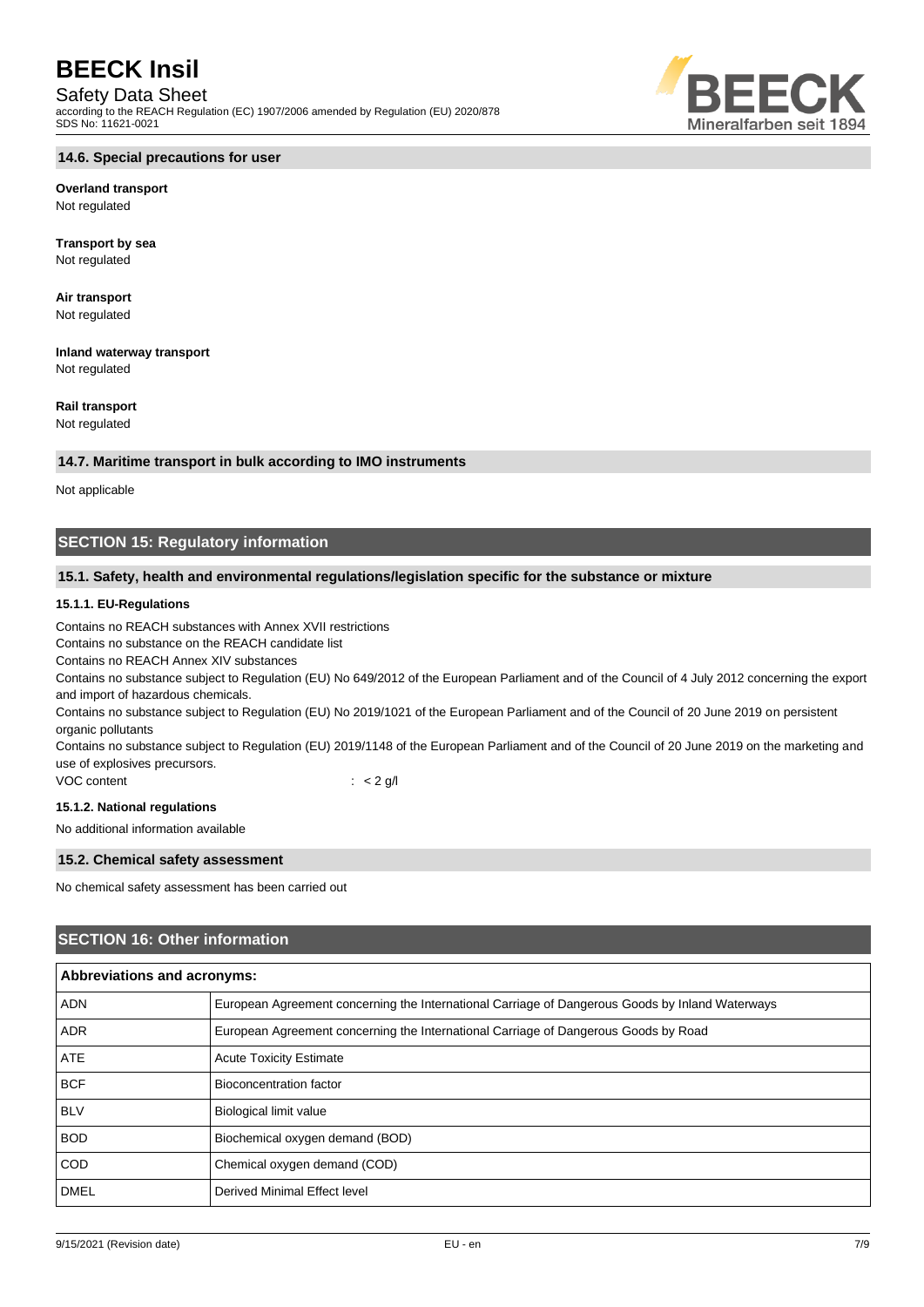#### Safety Data Sheet

according to the REACH Regulation (EC) 1907/2006 amended by Regulation (EU) 2020/878 SDS No: 11621-0021



#### **14.6. Special precautions for user**

**Overland transport** Not regulated

**Transport by sea** Not regulated

**Air transport** Not regulated

**Inland waterway transport** Not regulated

**Rail transport**

Not regulated

#### **14.7. Maritime transport in bulk according to IMO instruments**

Not applicable

## **SECTION 15: Regulatory information**

#### **15.1. Safety, health and environmental regulations/legislation specific for the substance or mixture**

#### **15.1.1. EU-Regulations**

Contains no REACH substances with Annex XVII restrictions

Contains no substance on the REACH candidate list

Contains no REACH Annex XIV substances

Contains no substance subject to Regulation (EU) No 649/2012 of the European Parliament and of the Council of 4 July 2012 concerning the export and import of hazardous chemicals.

Contains no substance subject to Regulation (EU) No 2019/1021 of the European Parliament and of the Council of 20 June 2019 on persistent organic pollutants

Contains no substance subject to Regulation (EU) 2019/1148 of the European Parliament and of the Council of 20 June 2019 on the marketing and use of explosives precursors.

VOC content : < 2 g/l

#### **15.1.2. National regulations**

No additional information available

#### **15.2. Chemical safety assessment**

No chemical safety assessment has been carried out

#### **SECTION 16: Other information**

| <b>Abbreviations and acronyms:</b> |                                                                                                 |  |  |
|------------------------------------|-------------------------------------------------------------------------------------------------|--|--|
| <b>ADN</b>                         | European Agreement concerning the International Carriage of Dangerous Goods by Inland Waterways |  |  |
| <b>ADR</b>                         | European Agreement concerning the International Carriage of Dangerous Goods by Road             |  |  |
| <b>ATE</b>                         | <b>Acute Toxicity Estimate</b>                                                                  |  |  |
| <b>BCF</b>                         | Bioconcentration factor                                                                         |  |  |
| <b>BLV</b>                         | <b>Biological limit value</b>                                                                   |  |  |
| <b>BOD</b>                         | Biochemical oxygen demand (BOD)                                                                 |  |  |
| <b>COD</b>                         | Chemical oxygen demand (COD)                                                                    |  |  |
| <b>DMEL</b>                        | Derived Minimal Effect level                                                                    |  |  |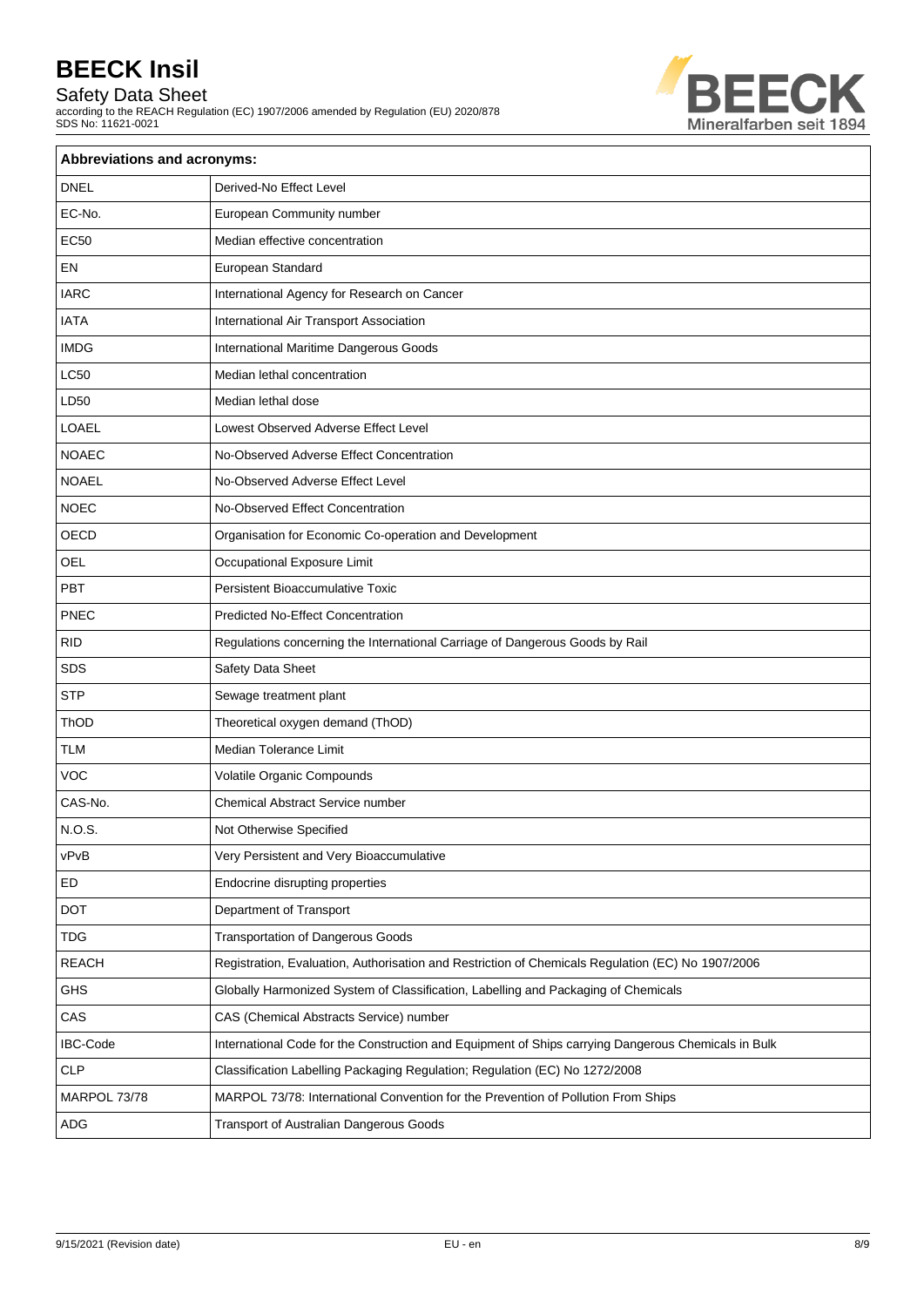Safety Data Sheet

according to the REACH Regulation (EC) 1907/2006 amended by Regulation (EU) 2020/878 SDS No: 11621-0021



| Abbreviations and acronyms: |                                                                                                     |  |  |  |
|-----------------------------|-----------------------------------------------------------------------------------------------------|--|--|--|
| <b>DNEL</b>                 | Derived-No Effect Level                                                                             |  |  |  |
| EC-No.                      | European Community number                                                                           |  |  |  |
| <b>EC50</b>                 | Median effective concentration                                                                      |  |  |  |
| EN                          | European Standard                                                                                   |  |  |  |
| <b>IARC</b>                 | International Agency for Research on Cancer                                                         |  |  |  |
| <b>IATA</b>                 | International Air Transport Association                                                             |  |  |  |
| <b>IMDG</b>                 | International Maritime Dangerous Goods                                                              |  |  |  |
| <b>LC50</b>                 | Median lethal concentration                                                                         |  |  |  |
| LD50                        | Median lethal dose                                                                                  |  |  |  |
| <b>LOAEL</b>                | Lowest Observed Adverse Effect Level                                                                |  |  |  |
| <b>NOAEC</b>                | No-Observed Adverse Effect Concentration                                                            |  |  |  |
| <b>NOAEL</b>                | No-Observed Adverse Effect Level                                                                    |  |  |  |
| <b>NOEC</b>                 | No-Observed Effect Concentration                                                                    |  |  |  |
| OECD                        | Organisation for Economic Co-operation and Development                                              |  |  |  |
| OEL                         | Occupational Exposure Limit                                                                         |  |  |  |
| PBT                         | <b>Persistent Bioaccumulative Toxic</b>                                                             |  |  |  |
| PNEC                        | <b>Predicted No-Effect Concentration</b>                                                            |  |  |  |
| <b>RID</b>                  | Regulations concerning the International Carriage of Dangerous Goods by Rail                        |  |  |  |
| SDS                         | Safety Data Sheet                                                                                   |  |  |  |
| <b>STP</b>                  | Sewage treatment plant                                                                              |  |  |  |
| ThOD                        | Theoretical oxygen demand (ThOD)                                                                    |  |  |  |
| <b>TLM</b>                  | Median Tolerance Limit                                                                              |  |  |  |
| <b>VOC</b>                  | Volatile Organic Compounds                                                                          |  |  |  |
| CAS-No.                     | Chemical Abstract Service number                                                                    |  |  |  |
| N.O.S.                      | Not Otherwise Specified                                                                             |  |  |  |
| vPvB                        | Very Persistent and Very Bioaccumulative                                                            |  |  |  |
| ED                          | Endocrine disrupting properties                                                                     |  |  |  |
| DOT                         | Department of Transport                                                                             |  |  |  |
| <b>TDG</b>                  | <b>Transportation of Dangerous Goods</b>                                                            |  |  |  |
| <b>REACH</b>                | Registration, Evaluation, Authorisation and Restriction of Chemicals Regulation (EC) No 1907/2006   |  |  |  |
| GHS                         | Globally Harmonized System of Classification, Labelling and Packaging of Chemicals                  |  |  |  |
| CAS                         | CAS (Chemical Abstracts Service) number                                                             |  |  |  |
| <b>IBC-Code</b>             | International Code for the Construction and Equipment of Ships carrying Dangerous Chemicals in Bulk |  |  |  |
| CLP                         | Classification Labelling Packaging Regulation; Regulation (EC) No 1272/2008                         |  |  |  |
| MARPOL 73/78                | MARPOL 73/78: International Convention for the Prevention of Pollution From Ships                   |  |  |  |
| ADG                         | Transport of Australian Dangerous Goods                                                             |  |  |  |